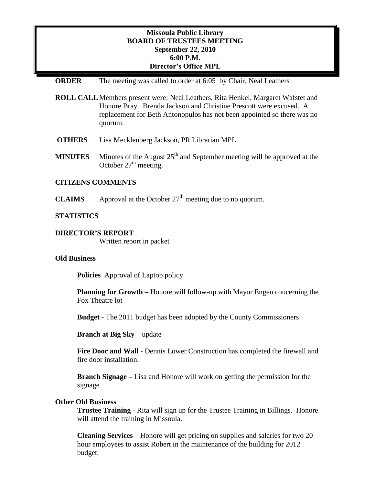## **Missoula Public Library BOARD OF TRUSTEES MEETING September 22, 2010 6:00 P.M. Director's Office MPL**

### **ORDER** The meeting was called to order at 6:05 by Chair, Neal Leathers

**ROLL CALL**Members present were: Neal Leathers, Rita Henkel, Margaret Wafstet and Honore Bray. Brenda Jackson and Christine Prescott were excused. A replacement for Beth Antonopulos has not been appointed so there was no quorum.

- **OTHERS** Lisa Mecklenberg Jackson, PR Librarian MPL
- **MINUTES** Minutes of the August  $25<sup>th</sup>$  and September meeting will be approved at the October  $27<sup>th</sup>$  meeting.

## **CITIZENS COMMENTS**

**CLAIMS** Approval at the October  $27<sup>th</sup>$  meeting due to no quorum.

#### **STATISTICS**

#### **DIRECTOR'S REPORT**

Written report in packet

#### **Old Business**

**Policies** Approval of Laptop policy

**Planning for Growth –** Honore will follow-up with Mayor Engen concerning the Fox Theatre lot

**Budget -** The 2011 budget has been adopted by the County Commissioners

**Branch at Big Sky –** update

**Fire Door and Wall -** Dennis Lower Construction has completed the firewall and fire door installation.

**Branch Signage –** Lisa and Honore will work on getting the permission for the signage

### **Other Old Business**

**Trustee Training** - Rita will sign up for the Trustee Training in Billings. Honore will attend the training in Missoula.

**Cleaning Services** – Honore will get pricing on supplies and salaries for two 20 hour employees to assist Robert in the maintenance of the building for 2012 budget.